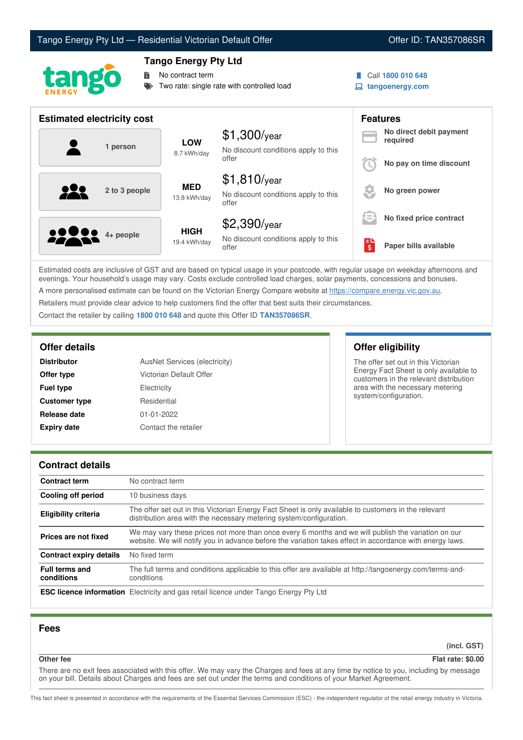# Tango Energy Pty Ltd — Residential Victorian Default Offer **Communist Communist Communist Communist Communist Communist Communist Communist Communist Communist Communist Communist Communist Communist Communist Communist Co**



## **Tango Energy Pty Ltd**

No contract term

- Two rate: single rate with controlled load
- Call **1800 010 648**
- **tangoenergy.com**

| <b>Estimated electricity cost</b> |                             |                                                                 |     | <b>Features</b>                     |  |
|-----------------------------------|-----------------------------|-----------------------------------------------------------------|-----|-------------------------------------|--|
| 1 person                          | <b>LOW</b><br>8.7 kWh/day   | $$1,300$ /year<br>No discount conditions apply to this          |     | No direct debit payment<br>required |  |
|                                   |                             | offer                                                           |     | No pay on time discount             |  |
| 2 to 3 people                     | <b>MED</b><br>13.8 kWh/day  | $$1,810$ /year<br>No discount conditions apply to this<br>offer |     | No green power                      |  |
|                                   |                             | $$2,390$ /year                                                  | l = | No fixed price contract             |  |
| <b>00000</b> 4+ people            | <b>HIGH</b><br>19.4 kWh/day | No discount conditions apply to this<br>offer                   | ś   | Paper bills available               |  |

Estimated costs are inclusive of GST and are based on typical usage in your postcode, with regular usage on weekday afternoons and evenings. Your household's usage may vary. Costs exclude controlled load charges, solar payments, concessions and bonuses. A more personalised estimate can be found on the Victorian Energy Compare website at <https://compare.energy.vic.gov.au>.

Retailers must provide clear advice to help customers find the offer that best suits their circumstances.

Contact the retailer by calling **1800 010 648** and quote this Offer ID **TAN357086SR**.

| <b>Distributor</b>   | AusNet Services (electricity) |
|----------------------|-------------------------------|
| Offer type           | Victorian Default Offer       |
| <b>Fuel type</b>     | Electricity                   |
| <b>Customer type</b> | Residential                   |
| Release date         | $01 - 01 - 2022$              |
| <b>Expiry date</b>   | Contact the retailer          |

**Offer details Offer eligibility**

The offer set out in this Victorian Energy Fact Sheet is only available to customers in the relevant distribution area with the necessary metering system/configuration.

### **Contract details**

| <b>Contract term</b>                | No contract term                                                                                                                                                                                                |
|-------------------------------------|-----------------------------------------------------------------------------------------------------------------------------------------------------------------------------------------------------------------|
| Cooling off period                  | 10 business days                                                                                                                                                                                                |
| Eligibility criteria                | The offer set out in this Victorian Energy Fact Sheet is only available to customers in the relevant<br>distribution area with the necessary metering system/configuration.                                     |
| Prices are not fixed                | We may vary these prices not more than once every 6 months and we will publish the variation on our<br>website. We will notify you in advance before the variation takes effect in accordance with energy laws. |
| Contract expiry details             | No fixed term                                                                                                                                                                                                   |
| <b>Full terms and</b><br>conditions | The full terms and conditions applicable to this offer are available at http://tangoenergy.com/terms-and-<br>conditions                                                                                         |
|                                     | <b>ESC licence information</b> Electricity and gas retail licence under Tango Energy Pty Ltd                                                                                                                    |

## **Fees**

**(incl. GST)**

## **Other fee Flat rate: \$0.00**

There are no exit fees associated with this offer. We may vary the Charges and fees at any time by notice to you, including by message on your bill. Details about Charges and fees are set out under the terms and conditions of your Market Agreement.

This fact sheet is presented in accordance with the requirements of the Essential Services Commission (ESC) - the independent regulator of the retail energy industry in Victoria.